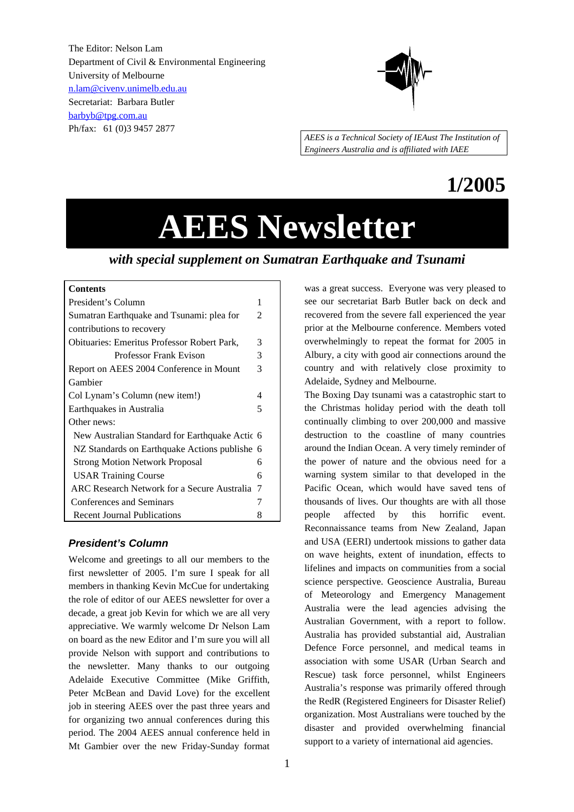The Editor: Nelson Lam Department of Civil & Environmental Engineering University of Melbourne n.lam@civenv.unimelb.edu.au Secretariat: Barbara Butler barbyb@tpg.com.au Ph/fax: 61 (0)3 9457 2877



*AEES is a Technical Society of IEAust The Institution of Engineers Australia and is affiliated with IAEE*

# **1/2005**

# **AEES Newsletter**

# *with special supplement on Sumatran Earthquake and Tsunami*

# **Contents**

| President's Column                                 | 1 |  |  |  |
|----------------------------------------------------|---|--|--|--|
| Sumatran Earthquake and Tsunami: plea for          |   |  |  |  |
| contributions to recovery                          |   |  |  |  |
| <b>Obituaries: Emeritus Professor Robert Park,</b> | 3 |  |  |  |
| <b>Professor Frank Evison</b>                      | 3 |  |  |  |
| Report on AEES 2004 Conference in Mount            | 3 |  |  |  |
| Gambier                                            |   |  |  |  |
| Col Lynam's Column (new item!)                     | 4 |  |  |  |
| Earthquakes in Australia                           |   |  |  |  |
| Other news:                                        |   |  |  |  |
| New Australian Standard for Earthquake Actic 6     |   |  |  |  |
| NZ Standards on Earthquake Actions publishe 6      |   |  |  |  |
| <b>Strong Motion Network Proposal</b>              | 6 |  |  |  |
| <b>USAR Training Course</b>                        | 6 |  |  |  |
| ARC Research Network for a Secure Australia 7      |   |  |  |  |
| Conferences and Seminars                           | 7 |  |  |  |
| <b>Recent Journal Publications</b>                 | 8 |  |  |  |

#### *President's Column*

Welcome and greetings to all our members to the first newsletter of 2005. I'm sure I speak for all members in thanking Kevin McCue for undertaking the role of editor of our AEES newsletter for over a decade, a great job Kevin for which we are all very appreciative. We warmly welcome Dr Nelson Lam on board as the new Editor and I'm sure you will all provide Nelson with support and contributions to the newsletter. Many thanks to our outgoing Adelaide Executive Committee (Mike Griffith, Peter McBean and David Love) for the excellent job in steering AEES over the past three years and for organizing two annual conferences during this period. The 2004 AEES annual conference held in Mt Gambier over the new Friday-Sunday format

was a great success. Everyone was very pleased to see our secretariat Barb Butler back on deck and recovered from the severe fall experienced the year prior at the Melbourne conference. Members voted overwhelmingly to repeat the format for 2005 in Albury, a city with good air connections around the country and with relatively close proximity to Adelaide, Sydney and Melbourne.

The Boxing Day tsunami was a catastrophic start to the Christmas holiday period with the death toll continually climbing to over 200,000 and massive destruction to the coastline of many countries around the Indian Ocean. A very timely reminder of the power of nature and the obvious need for a warning system similar to that developed in the Pacific Ocean, which would have saved tens of thousands of lives. Our thoughts are with all those people affected by this horrific event. Reconnaissance teams from New Zealand, Japan and USA (EERI) undertook missions to gather data on wave heights, extent of inundation, effects to lifelines and impacts on communities from a social science perspective. Geoscience Australia, Bureau of Meteorology and Emergency Management Australia were the lead agencies advising the Australian Government, with a report to follow. Australia has provided substantial aid, Australian Defence Force personnel, and medical teams in association with some USAR (Urban Search and Rescue) task force personnel, whilst Engineers Australia's response was primarily offered through the RedR (Registered Engineers for Disaster Relief) organization. Most Australians were touched by the disaster and provided overwhelming financial support to a variety of international aid agencies.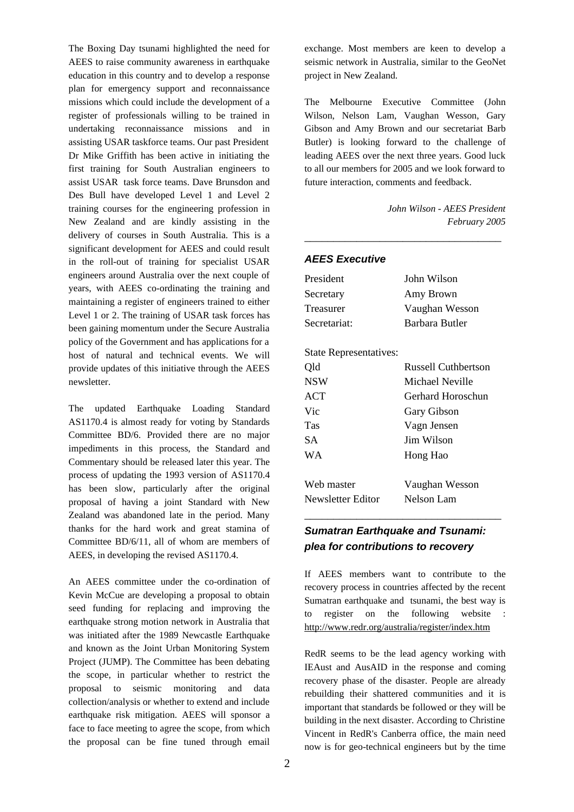The Boxing Day tsunami highlighted the need for AEES to raise community awareness in earthquake education in this country and to develop a response plan for emergency support and reconnaissance missions which could include the development of a register of professionals willing to be trained in undertaking reconnaissance missions and in assisting USAR taskforce teams. Our past President Dr Mike Griffith has been active in initiating the first training for South Australian engineers to assist USAR task force teams. Dave Brunsdon and Des Bull have developed Level 1 and Level 2 training courses for the engineering profession in New Zealand and are kindly assisting in the delivery of courses in South Australia. This is a significant development for AEES and could result in the roll-out of training for specialist USAR engineers around Australia over the next couple of years, with AEES co-ordinating the training and maintaining a register of engineers trained to either Level 1 or 2. The training of USAR task forces has been gaining momentum under the Secure Australia policy of the Government and has applications for a host of natural and technical events. We will provide updates of this initiative through the AEES newsletter.

The updated Earthquake Loading Standard AS1170.4 is almost ready for voting by Standards Committee BD/6. Provided there are no major impediments in this process, the Standard and Commentary should be released later this year. The process of updating the 1993 version of AS1170.4 has been slow, particularly after the original proposal of having a joint Standard with New Zealand was abandoned late in the period. Many thanks for the hard work and great stamina of Committee BD/6/11, all of whom are members of AEES, in developing the revised AS1170.4.

An AEES committee under the co-ordination of Kevin McCue are developing a proposal to obtain seed funding for replacing and improving the earthquake strong motion network in Australia that was initiated after the 1989 Newcastle Earthquake and known as the Joint Urban Monitoring System Project (JUMP). The Committee has been debating the scope, in particular whether to restrict the proposal to seismic monitoring and data collection/analysis or whether to extend and include earthquake risk mitigation. AEES will sponsor a face to face meeting to agree the scope, from which the proposal can be fine tuned through email exchange. Most members are keen to develop a seismic network in Australia, similar to the GeoNet project in New Zealand.

The Melbourne Executive Committee (John Wilson, Nelson Lam, Vaughan Wesson, Gary Gibson and Amy Brown and our secretariat Barb Butler) is looking forward to the challenge of leading AEES over the next three years. Good luck to all our members for 2005 and we look forward to future interaction, comments and feedback.

\_\_\_\_\_\_\_\_\_\_\_\_\_\_\_\_\_\_\_\_\_\_\_\_\_\_\_\_\_\_\_\_\_\_

*John Wilson - AEES President February 2005*

#### *AEES Executive*

| President                     | John Wilson         |
|-------------------------------|---------------------|
| Secretary                     | Amy Brown           |
| Treasurer                     | Vaughan Wesson      |
| Secretariat:                  | Barbara Butler      |
| <b>State Representatives:</b> |                     |
| Qld                           | Russell Cuthbertson |
| <b>NSW</b>                    | Michael Neville     |
| <b>ACT</b>                    | Gerhard Horoschun   |
| Vic                           | Gary Gibson         |
| Tas                           | Vagn Jensen         |
| SА                            | Jim Wilson          |
| W A                           | Hong Hao            |
| Web master                    | Vaughan Wesson      |
| Newsletter Editor             | <b>Nelson Lam</b>   |
|                               |                     |

# *Sumatran Earthquake and Tsunami: plea for contributions to recovery*

If AEES members want to contribute to the recovery process in countries affected by the recent Sumatran earthquake and tsunami, the best way is to register on the following website : http://www.redr.org/australia/register/index.htm

RedR seems to be the lead agency working with IEAust and AusAID in the response and coming recovery phase of the disaster. People are already rebuilding their shattered communities and it is important that standards be followed or they will be building in the next disaster. According to Christine Vincent in RedR's Canberra office, the main need now is for geo-technical engineers but by the time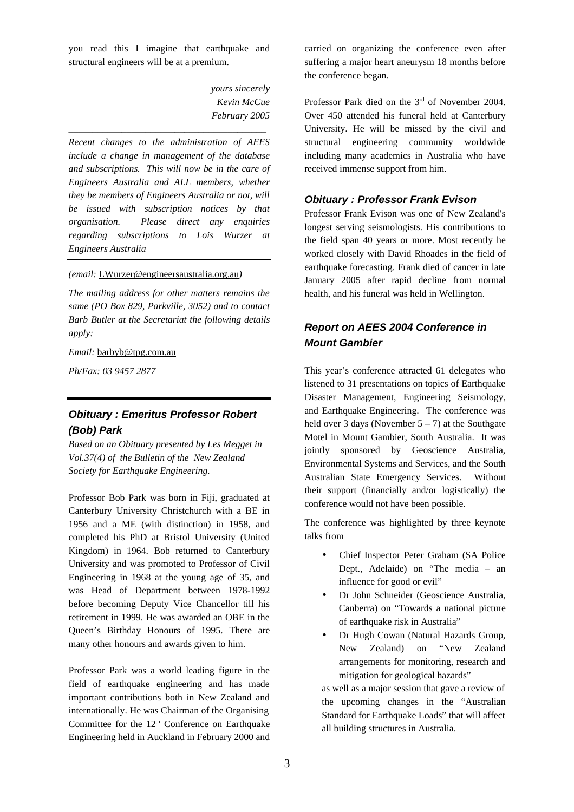you read this I imagine that earthquake and structural engineers will be at a premium.

> *yours sincerely Kevin McCue February 2005*

*Recent changes to the administration of AEES include a change in management of the database and subscriptions. This will now be in the care of Engineers Australia and ALL members, whether they be members of Engineers Australia or not, will be issued with subscription notices by that organisation. Please direct any enquiries regarding subscriptions to Lois Wurzer at Engineers Australia*

\_\_\_\_\_\_\_\_\_\_\_\_\_\_\_\_\_\_\_\_\_\_\_\_\_\_\_\_\_\_\_\_\_\_\_\_\_\_\_\_\_

*(email:* LWurzer@engineersaustralia.org.au*)*

*The mailing address for other matters remains the same (PO Box 829, Parkville, 3052) and to contact Barb Butler at the Secretariat the following details apply:*

*Email:* barbyb@tpg.com.au

*Ph/Fax: 03 9457 2877*

# *Obituary : Emeritus Professor Robert (Bob) Park*

*Based on an Obituary presented by Les Megget in Vol.37(4) of the Bulletin of the New Zealand Society for Earthquake Engineering.*

Professor Bob Park was born in Fiji, graduated at Canterbury University Christchurch with a BE in 1956 and a ME (with distinction) in 1958, and completed his PhD at Bristol University (United Kingdom) in 1964. Bob returned to Canterbury University and was promoted to Professor of Civil Engineering in 1968 at the young age of 35, and was Head of Department between 1978-1992 before becoming Deputy Vice Chancellor till his retirement in 1999. He was awarded an OBE in the Queen's Birthday Honours of 1995. There are many other honours and awards given to him.

Professor Park was a world leading figure in the field of earthquake engineering and has made important contributions both in New Zealand and internationally. He was Chairman of the Organising Committee for the  $12<sup>th</sup>$  Conference on Earthquake Engineering held in Auckland in February 2000 and carried on organizing the conference even after suffering a major heart aneurysm 18 months before the conference began.

Professor Park died on the 3<sup>rd</sup> of November 2004. Over 450 attended his funeral held at Canterbury University. He will be missed by the civil and structural engineering community worldwide including many academics in Australia who have received immense support from him.

#### *Obituary : Professor Frank Evison*

Professor Frank Evison was one of New Zealand's longest serving seismologists. His contributions to the field span 40 years or more. Most recently he worked closely with David Rhoades in the field of earthquake forecasting. Frank died of cancer in late January 2005 after rapid decline from normal health, and his funeral was held in Wellington.

# *Report on AEES 2004 Conference in Mount Gambier*

This year's conference attracted 61 delegates who listened to 31 presentations on topics of Earthquake Disaster Management, Engineering Seismology, and Earthquake Engineering. The conference was held over 3 days (November  $5 - 7$ ) at the Southgate Motel in Mount Gambier, South Australia. It was jointly sponsored by Geoscience Australia, Environmental Systems and Services, and the South Australian State Emergency Services. Without their support (financially and/or logistically) the conference would not have been possible.

The conference was highlighted by three keynote talks from

- Chief Inspector Peter Graham (SA Police Dept., Adelaide) on "The media – an influence for good or evil"
- Dr John Schneider (Geoscience Australia, Canberra) on "Towards a national picture of earthquake risk in Australia"
- Dr Hugh Cowan (Natural Hazards Group, New Zealand) on "New Zealand arrangements for monitoring, research and mitigation for geological hazards"

as well as a major session that gave a review of the upcoming changes in the "Australian Standard for Earthquake Loads" that will affect all building structures in Australia.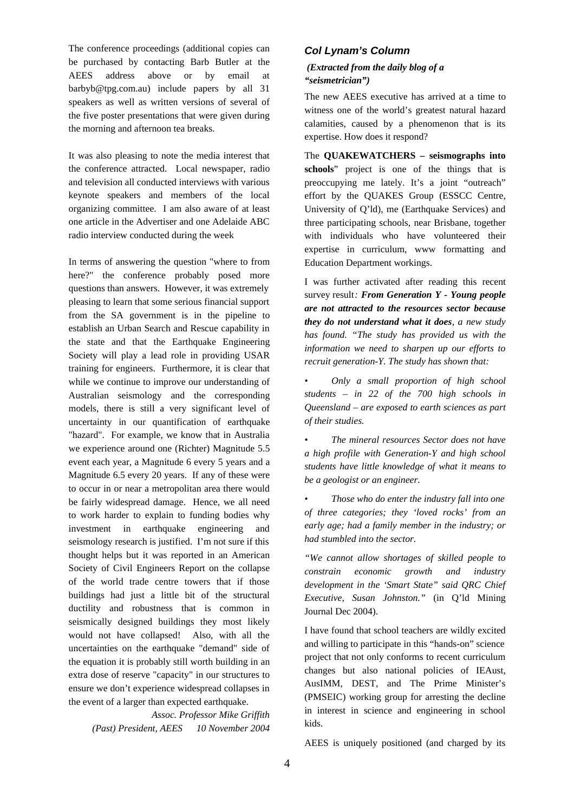The conference proceedings (additional copies can be purchased by contacting Barb Butler at the AEES address above or by email at barbyb@tpg.com.au) include papers by all 31 speakers as well as written versions of several of the five poster presentations that were given during the morning and afternoon tea breaks.

It was also pleasing to note the media interest that the conference attracted. Local newspaper, radio and television all conducted interviews with various keynote speakers and members of the local organizing committee. I am also aware of at least one article in the Advertiser and one Adelaide ABC radio interview conducted during the week

In terms of answering the question "where to from here?" the conference probably posed more questions than answers. However, it was extremely pleasing to learn that some serious financial support from the SA government is in the pipeline to establish an Urban Search and Rescue capability in the state and that the Earthquake Engineering Society will play a lead role in providing USAR training for engineers. Furthermore, it is clear that while we continue to improve our understanding of Australian seismology and the corresponding models, there is still a very significant level of uncertainty in our quantification of earthquake "hazard". For example, we know that in Australia we experience around one (Richter) Magnitude 5.5 event each year, a Magnitude 6 every 5 years and a Magnitude 6.5 every 20 years. If any of these were to occur in or near a metropolitan area there would be fairly widespread damage. Hence, we all need to work harder to explain to funding bodies why investment in earthquake engineering and seismology research is justified. I'm not sure if this thought helps but it was reported in an American Society of Civil Engineers Report on the collapse of the world trade centre towers that if those buildings had just a little bit of the structural ductility and robustness that is common in seismically designed buildings they most likely would not have collapsed! Also, with all the uncertainties on the earthquake "demand" side of the equation it is probably still worth building in an extra dose of reserve "capacity" in our structures to ensure we don't experience widespread collapses in the event of a larger than expected earthquake.

> *Assoc. Professor Mike Griffith (Past) President, AEES 10 November 2004*

#### *Col Lynam's Column*

#### *(Extracted from the daily blog of a "seismetrician")*

The new AEES executive has arrived at a time to witness one of the world's greatest natural hazard calamities, caused by a phenomenon that is its expertise. How does it respond?

The **QUAKEWATCHERS – seismographs into schools**" project is one of the things that is preoccupying me lately. It's a joint "outreach" effort by the QUAKES Group (ESSCC Centre, University of Q'ld), me (Earthquake Services) and three participating schools, near Brisbane, together with individuals who have volunteered their expertise in curriculum, www formatting and Education Department workings.

I was further activated after reading this recent survey result*: From Generation Y - Young people are not attracted to the resources sector because they do not understand what it does, a new study has found. "The study has provided us with the information we need to sharpen up our efforts to recruit generation-Y. The study has shown that:*

*• Only a small proportion of high school students – in 22 of the 700 high schools in Queensland – are exposed to earth sciences as part of their studies.*

*• The mineral resources Sector does not have a high profile with Generation-Y and high school students have little knowledge of what it means to be a geologist or an engineer.*

*• Those who do enter the industry fall into one of three categories; they 'loved rocks' from an early age; had a family member in the industry; or had stumbled into the sector.*

*"We cannot allow shortages of skilled people to constrain economic growth and industry development in the 'Smart State" said QRC Chief Executive, Susan Johnston."* (in Q'ld Mining Journal Dec 2004).

I have found that school teachers are wildly excited and willing to participate in this "hands-on" science project that not only conforms to recent curriculum changes but also national policies of IEAust, AusIMM, DEST, and The Prime Minister's (PMSEIC) working group for arresting the decline in interest in science and engineering in school kids.

AEES is uniquely positioned (and charged by its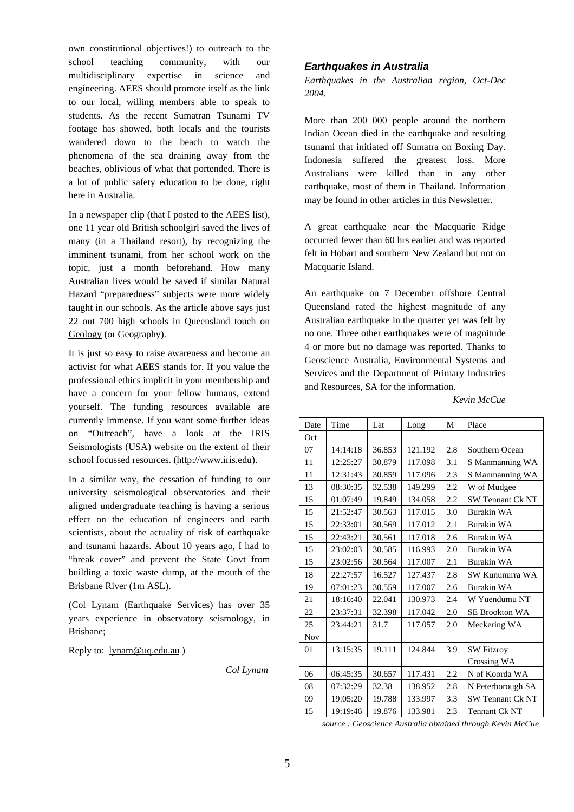own constitutional objectives!) to outreach to the school teaching community, with our multidisciplinary expertise in science and engineering. AEES should promote itself as the link to our local, willing members able to speak to students. As the recent Sumatran Tsunami TV footage has showed, both locals and the tourists wandered down to the beach to watch the phenomena of the sea draining away from the beaches, oblivious of what that portended. There is a lot of public safety education to be done, right here in Australia.

In a newspaper clip (that I posted to the AEES list), one 11 year old British schoolgirl saved the lives of many (in a Thailand resort), by recognizing the imminent tsunami, from her school work on the topic, just a month beforehand. How many Australian lives would be saved if similar Natural Hazard "preparedness" subjects were more widely taught in our schools. As the article above says just 22 out 700 high schools in Queensland touch on Geology (or Geography).

It is just so easy to raise awareness and become an activist for what AEES stands for. If you value the professional ethics implicit in your membership and have a concern for your fellow humans, extend yourself. The funding resources available are currently immense. If you want some further ideas on "Outreach", have a look at the IRIS Seismologists (USA) website on the extent of their school focussed resources. (http://www.iris.edu).

In a similar way, the cessation of funding to our university seismological observatories and their aligned undergraduate teaching is having a serious effect on the education of engineers and earth scientists, about the actuality of risk of earthquake and tsunami hazards. About 10 years ago, I had to "break cover" and prevent the State Govt from building a toxic waste dump, at the mouth of the Brisbane River (1m ASL).

(Col Lynam (Earthquake Services) has over 35 years experience in observatory seismology, in Brisbane;

Reply to: lynam@uq.edu.au )

#### *Earthquakes in Australia*

*Earthquakes in the Australian region, Oct-Dec 2004.*

More than 200 000 people around the northern Indian Ocean died in the earthquake and resulting tsunami that initiated off Sumatra on Boxing Day. Indonesia suffered the greatest loss. More Australians were killed than in any other earthquake, most of them in Thailand. Information may be found in other articles in this Newsletter.

A great earthquake near the Macquarie Ridge occurred fewer than 60 hrs earlier and was reported felt in Hobart and southern New Zealand but not on Macquarie Island.

An earthquake on 7 December offshore Central Queensland rated the highest magnitude of any Australian earthquake in the quarter yet was felt by no one. Three other earthquakes were of magnitude 4 or more but no damage was reported. Thanks to Geoscience Australia, Environmental Systems and Services and the Department of Primary Industries and Resources, SA for the information.

*Kevin McCue*

| Date       | Time     | Lat    | Long    | M   | Place                   |
|------------|----------|--------|---------|-----|-------------------------|
| Oct        |          |        |         |     |                         |
| 07         | 14:14:18 | 36.853 | 121.192 | 2.8 | Southern Ocean          |
| 11         | 12:25:27 | 30.879 | 117.098 | 3.1 | S Manmanning WA         |
| 11         | 12:31:43 | 30.859 | 117.096 | 2.3 | S Manmanning WA         |
| 13         | 08:30:35 | 32.538 | 149.299 | 2.2 | W of Mudgee             |
| 15         | 01:07:49 | 19.849 | 134.058 | 2.2 | <b>SW Tennant Ck NT</b> |
| 15         | 21:52:47 | 30.563 | 117.015 | 3.0 | <b>Burakin WA</b>       |
| 15         | 22:33:01 | 30.569 | 117.012 | 2.1 | Burakin WA              |
| 15         | 22:43:21 | 30.561 | 117.018 | 2.6 | Burakin WA              |
| 15         | 23:02:03 | 30.585 | 116.993 | 2.0 | Burakin WA              |
| 15         | 23:02:56 | 30.564 | 117.007 | 2.1 | <b>Burakin WA</b>       |
| 18         | 22:27:57 | 16.527 | 127.437 | 2.8 | SW Kununurra WA         |
| 19         | 07:01:23 | 30.559 | 117.007 | 2.6 | Burakin WA              |
| 21         | 18:16:40 | 22.041 | 130.973 | 2.4 | W Yuendumu NT           |
| 22         | 23:37:31 | 32.398 | 117.042 | 2.0 | <b>SE Brookton WA</b>   |
| 25         | 23:44:21 | 31.7   | 117.057 | 2.0 | Meckering WA            |
| <b>Nov</b> |          |        |         |     |                         |
| 01         | 13:15:35 | 19.111 | 124.844 | 3.9 | <b>SW Fitzroy</b>       |
|            |          |        |         |     | Crossing WA             |
| 06         | 06:45:35 | 30.657 | 117.431 | 2.2 | N of Koorda WA          |
| 08         | 07:32:29 | 32.38  | 138.952 | 2.8 | N Peterborough SA       |
| 09         | 19:05:20 | 19.788 | 133.997 | 3.3 | <b>SW Tennant Ck NT</b> |
| 15         | 19:19:46 | 19.876 | 133.981 | 2.3 | <b>Tennant Ck NT</b>    |

*source : Geoscience Australia obtained through Kevin McCue*

*Col Lynam*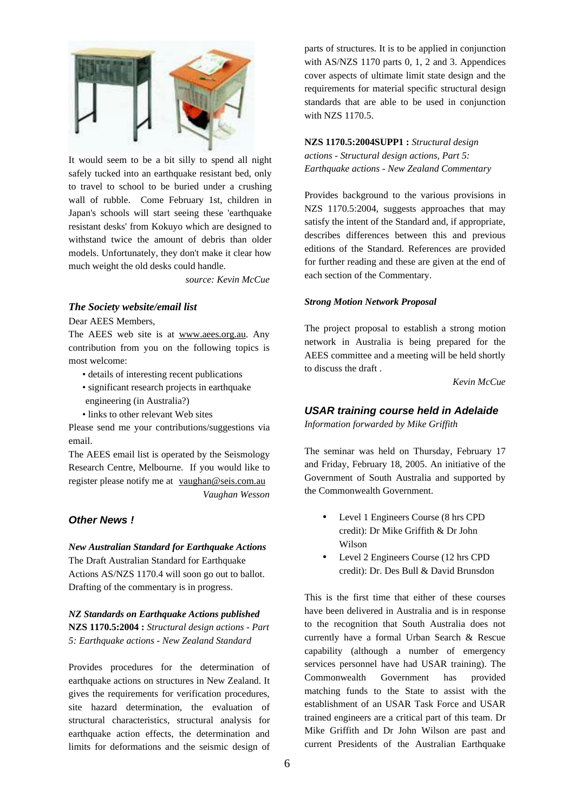

It would seem to be a bit silly to spend all night safely tucked into an earthquake resistant bed, only to travel to school to be buried under a crushing wall of rubble. Come February 1st, children in Japan's schools will start seeing these 'earthquake resistant desks' from Kokuyo which are designed to withstand twice the amount of debris than older models. Unfortunately, they don't make it clear how much weight the old desks could handle.

*source: Kevin McCue*

#### *The Society website/email list*

Dear AEES Members,

The AEES web site is at www.aees.org.au. Any contribution from you on the following topics is most welcome:

- details of interesting recent publications
- significant research projects in earthquake engineering (in Australia?)
- links to other relevant Web sites

Please send me your contributions/suggestions via email.

The AEES email list is operated by the Seismology Research Centre, Melbourne. If you would like to register please notify me at vaughan@seis.com.au *Vaughan Wesson*

#### *Other News !*

*New Australian Standard for Earthquake Actions* The Draft Australian Standard for Earthquake Actions AS/NZS 1170.4 will soon go out to ballot. Drafting of the commentary is in progress.

*NZ Standards on Earthquake Actions published* **NZS 1170.5:2004 :** *Structural design actions - Part 5: Earthquake actions - New Zealand Standard*

Provides procedures for the determination of earthquake actions on structures in New Zealand. It gives the requirements for verification procedures, site hazard determination, the evaluation of structural characteristics, structural analysis for earthquake action effects, the determination and limits for deformations and the seismic design of parts of structures. It is to be applied in conjunction with AS/NZS 1170 parts 0, 1, 2 and 3. Appendices cover aspects of ultimate limit state design and the requirements for material specific structural design standards that are able to be used in conjunction with NZS 1170.5.

**NZS 1170.5:2004SUPP1 :** *Structural design actions - Structural design actions, Part 5: Earthquake actions - New Zealand Commentary*

Provides background to the various provisions in NZS 1170.5:2004, suggests approaches that may satisfy the intent of the Standard and, if appropriate, describes differences between this and previous editions of the Standard. References are provided for further reading and these are given at the end of each section of the Commentary.

#### *Strong Motion Network Proposal*

The project proposal to establish a strong motion network in Australia is being prepared for the AEES committee and a meeting will be held shortly to discuss the draft .

*Kevin McCue*

#### *USAR training course held in Adelaide Information forwarded by Mike Griffith*

The seminar was held on Thursday, February 17 and Friday, February 18, 2005. An initiative of the Government of South Australia and supported by the Commonwealth Government.

- Level 1 Engineers Course (8 hrs CPD credit): Dr Mike Griffith & Dr John Wilson
- Level 2 Engineers Course (12 hrs CPD credit): Dr. Des Bull & David Brunsdon

This is the first time that either of these courses have been delivered in Australia and is in response to the recognition that South Australia does not currently have a formal Urban Search & Rescue capability (although a number of emergency services personnel have had USAR training). The Commonwealth Government has provided matching funds to the State to assist with the establishment of an USAR Task Force and USAR trained engineers are a critical part of this team. Dr Mike Griffith and Dr John Wilson are past and current Presidents of the Australian Earthquake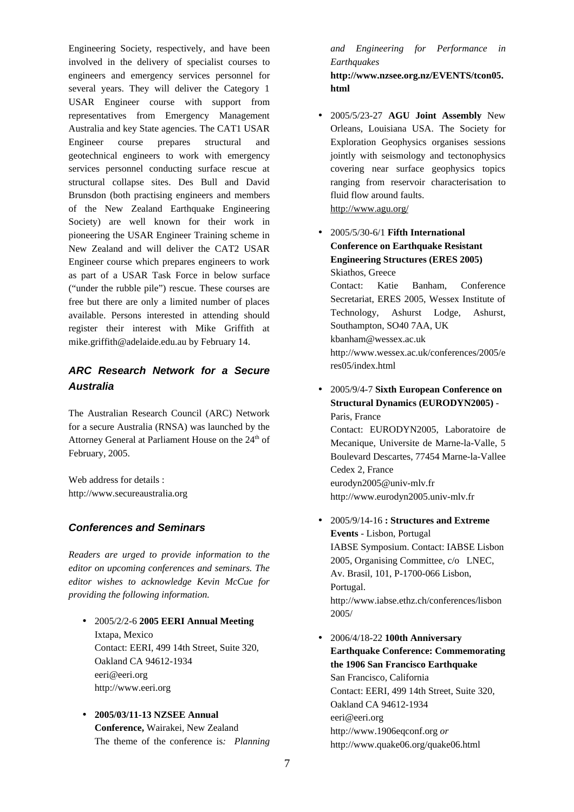Engineering Society, respectively, and have been involved in the delivery of specialist courses to engineers and emergency services personnel for several years. They will deliver the Category 1 USAR Engineer course with support from representatives from Emergency Management Australia and key State agencies. The CAT1 USAR Engineer course prepares structural and geotechnical engineers to work with emergency services personnel conducting surface rescue at structural collapse sites. Des Bull and David Brunsdon (both practising engineers and members of the New Zealand Earthquake Engineering Society) are well known for their work in pioneering the USAR Engineer Training scheme in New Zealand and will deliver the CAT2 USAR Engineer course which prepares engineers to work as part of a USAR Task Force in below surface ("under the rubble pile") rescue. These courses are free but there are only a limited number of places available. Persons interested in attending should register their interest with Mike Griffith at mike.griffith@adelaide.edu.au by February 14.

# *ARC Research Network for a Secure Australia*

The Australian Research Council (ARC) Network for a secure Australia (RNSA) was launched by the Attorney General at Parliament House on the  $24<sup>th</sup>$  of February, 2005.

Web address for details : http://www.secureaustralia.org

#### *Conferences and Seminars*

*Readers are urged to provide information to the editor on upcoming conferences and seminars. The editor wishes to acknowledge Kevin McCue for providing the following information.*

- 2005/2/2-6 **2005 EERI Annual Meeting** Ixtapa, Mexico Contact: EERI, 499 14th Street, Suite 320, Oakland CA 94612-1934 eeri@eeri.org http://www.eeri.org
- **2005/03/11-13 NZSEE Annual Conference,** Wairakei, New Zealand The theme of the conference is*: Planning*

*and Engineering for Performance in Earthquakes*

**http://www.nzsee.org.nz/EVENTS/tcon05. html**

- 2005/5/23-27 **AGU Joint Assembly** New Orleans, Louisiana USA. The Society for Exploration Geophysics organises sessions jointly with seismology and tectonophysics covering near surface geophysics topics ranging from reservoir characterisation to fluid flow around faults. http://www.agu.org/
- 2005/5/30-6/1 **Fifth International Conference on Earthquake Resistant Engineering Structures (ERES 2005)** Skiathos, Greece

Contact: Katie Banham, Conference Secretariat, ERES 2005, Wessex Institute of Technology, Ashurst Lodge, Ashurst, Southampton, SO40 7AA, UK kbanham@wessex.ac.uk http://www.wessex.ac.uk/conferences/2005/e res05/index.html

• 2005/9/4-7 **Sixth European Conference on Structural Dynamics (EURODYN2005)** - Paris, France

Contact: EURODYN2005, Laboratoire de Mecanique, Universite de Marne-la-Valle, 5 Boulevard Descartes, 77454 Marne-la-Vallee Cedex 2, France eurodyn2005@univ-mlv.fr http://www.eurodyn2005.univ-mlv.fr

- 2005/9/14-16 **: Structures and Extreme Events** - Lisbon, Portugal IABSE Symposium. Contact: IABSE Lisbon 2005, Organising Committee, c/o LNEC, Av. Brasil, 101, P-1700-066 Lisbon, Portugal. http://www.iabse.ethz.ch/conferences/lisbon 2005/
- 2006/4/18-22 **100th Anniversary Earthquake Conference: Commemorating the 1906 San Francisco Earthquake** San Francisco, California Contact: EERI, 499 14th Street, Suite 320, Oakland CA 94612-1934 eeri@eeri.org http://www.1906eqconf.org *or* http://www.quake06.org/quake06.html